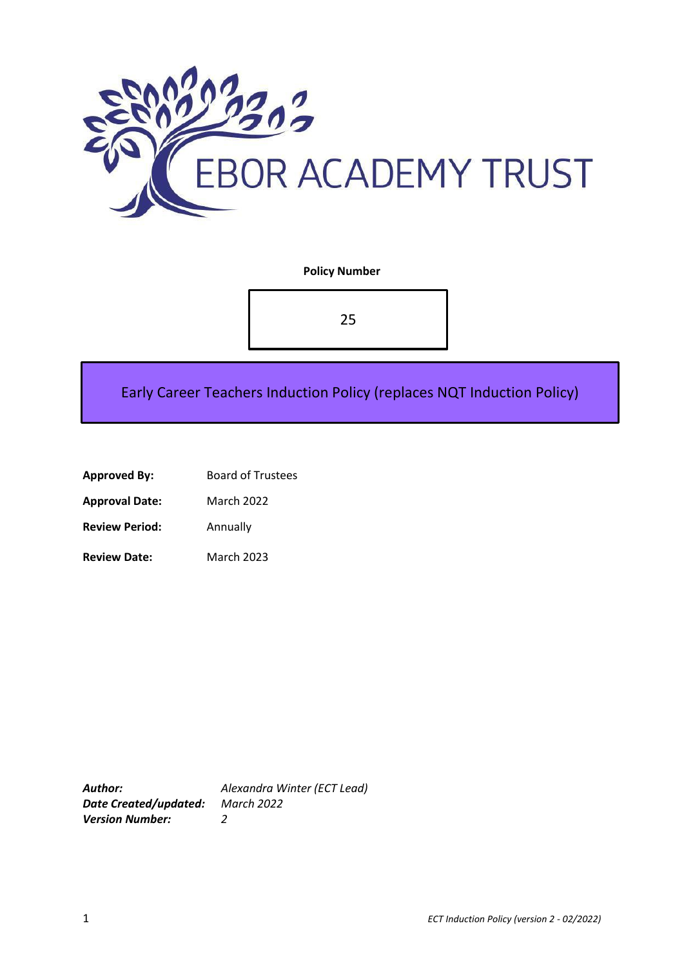

**Policy Number**

25

Early Career Teachers Induction Policy (replaces NQT Induction Policy)

| <b>Approved By:</b> | <b>Board of Trustees</b> |
|---------------------|--------------------------|
|                     |                          |

**Approval Date:** March 2022

**Review Period:** Annually

**Review Date:** March 2023

*Date Created/updated: March 2022 Version Number: 2*

*Author: Alexandra Winter (ECT Lead)*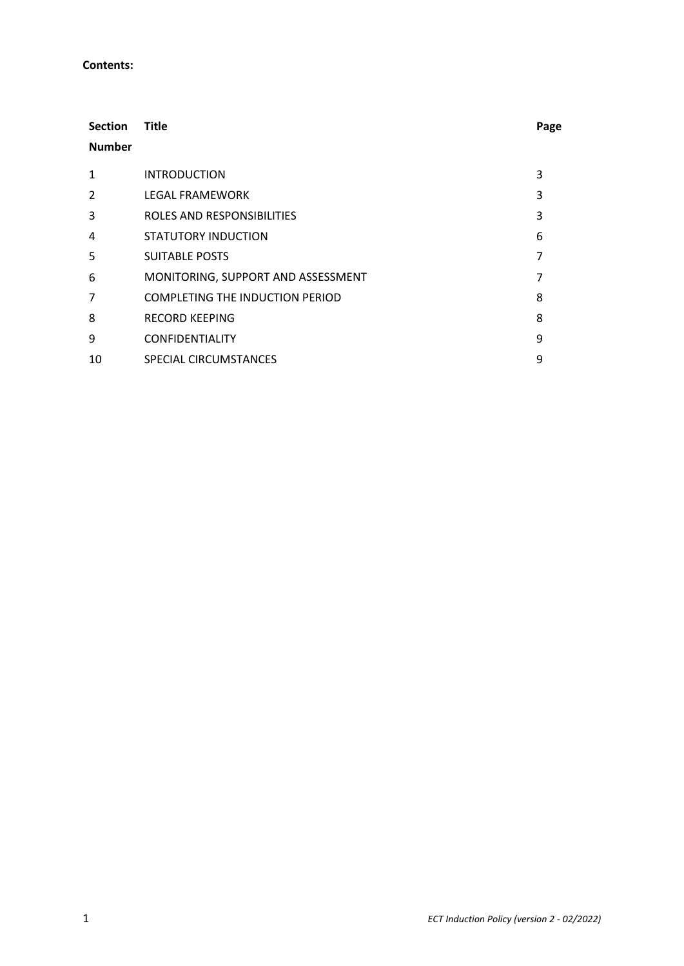#### **Contents:**

| <b>Section</b><br><b>Number</b> | Title                                  | Page |
|---------------------------------|----------------------------------------|------|
| 1                               | <b>INTRODUCTION</b>                    | 3    |
| $\mathcal{P}$                   | <b>LEGAL FRAMEWORK</b>                 | 3    |
| 3                               | ROLES AND RESPONSIBILITIES             | 3    |
| 4                               | STATUTORY INDUCTION                    | 6    |
| 5                               | <b>SUITABLE POSTS</b>                  | 7    |
| 6                               | MONITORING, SUPPORT AND ASSESSMENT     | 7    |
| 7                               | <b>COMPLETING THE INDUCTION PERIOD</b> | 8    |
| 8                               | RECORD KEEPING                         | 8    |
| 9                               | <b>CONFIDENTIALITY</b>                 | 9    |
| 10                              | SPECIAL CIRCUMSTANCES                  | 9    |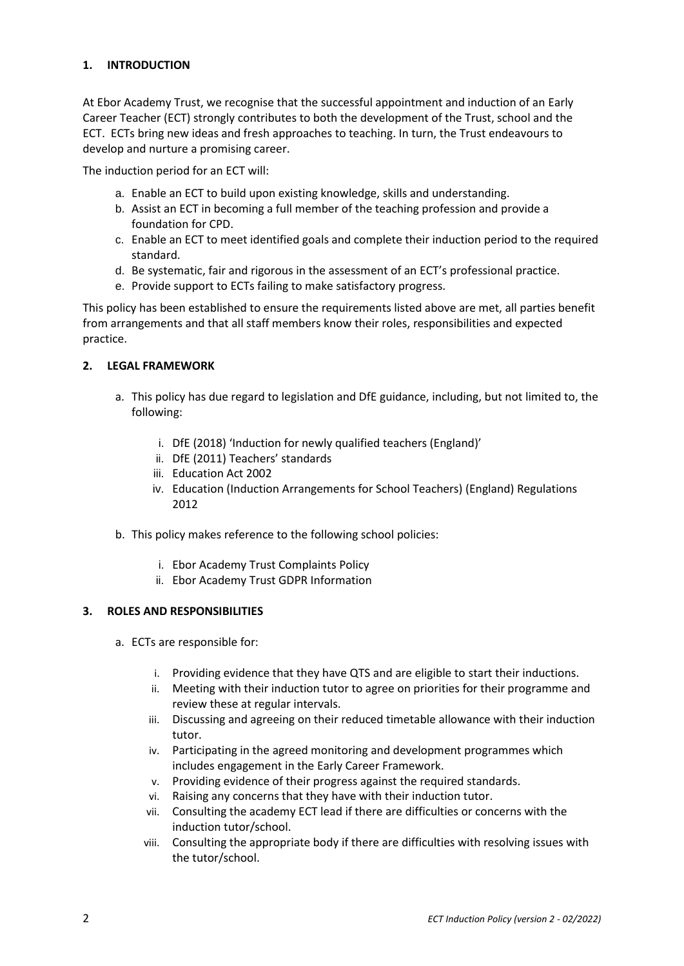# **1. INTRODUCTION**

At Ebor Academy Trust, we recognise that the successful appointment and induction of an Early Career Teacher (ECT) strongly contributes to both the development of the Trust, school and the ECT. ECTs bring new ideas and fresh approaches to teaching. In turn, the Trust endeavours to develop and nurture a promising career.

The induction period for an ECT will:

- a. Enable an ECT to build upon existing knowledge, skills and understanding.
- b. Assist an ECT in becoming a full member of the teaching profession and provide a foundation for CPD.
- c. Enable an ECT to meet identified goals and complete their induction period to the required standard.
- d. Be systematic, fair and rigorous in the assessment of an ECT's professional practice.
- e. Provide support to ECTs failing to make satisfactory progress.

This policy has been established to ensure the requirements listed above are met, all parties benefit from arrangements and that all staff members know their roles, responsibilities and expected practice.

### **2. LEGAL FRAMEWORK**

- a. This policy has due regard to legislation and DfE guidance, including, but not limited to, the following:
	- i. DfE (2018) 'Induction for newly qualified teachers (England)'
	- ii. DfE (2011) Teachers' standards
	- iii. Education Act 2002
	- iv. Education (Induction Arrangements for School Teachers) (England) Regulations 2012
- b. This policy makes reference to the following school policies:
	- i. Ebor Academy Trust Complaints Policy
	- ii. Ebor Academy Trust GDPR Information

# **3. ROLES AND RESPONSIBILITIES**

- a. ECTs are responsible for:
	- i. Providing evidence that they have QTS and are eligible to start their inductions.
	- ii. Meeting with their induction tutor to agree on priorities for their programme and review these at regular intervals.
	- iii. Discussing and agreeing on their reduced timetable allowance with their induction tutor.
	- iv. Participating in the agreed monitoring and development programmes which includes engagement in the Early Career Framework.
	- v. Providing evidence of their progress against the required standards.
	- vi. Raising any concerns that they have with their induction tutor.
	- vii. Consulting the academy ECT lead if there are difficulties or concerns with the induction tutor/school.
	- viii. Consulting the appropriate body if there are difficulties with resolving issues with the tutor/school.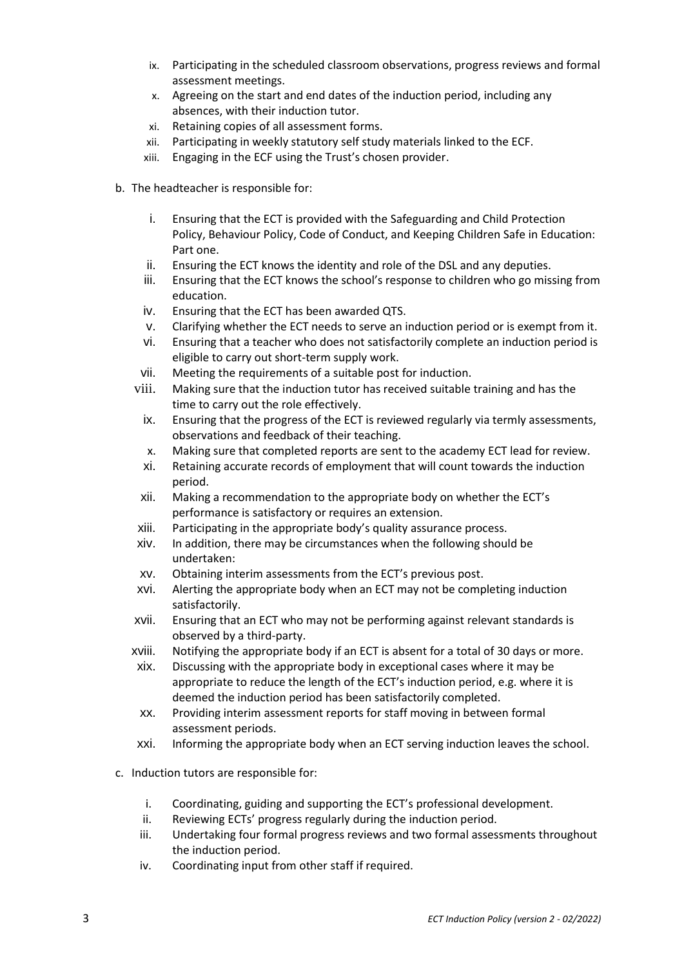- ix. Participating in the scheduled classroom observations, progress reviews and formal assessment meetings.
- x. Agreeing on the start and end dates of the induction period, including any absences, with their induction tutor.
- xi. Retaining copies of all assessment forms.
- xii. Participating in weekly statutory self study materials linked to the ECF.
- xiii. Engaging in the ECF using the Trust's chosen provider.
- b. The headteacher is responsible for:
	- i. Ensuring that the ECT is provided with the Safeguarding and Child Protection Policy, Behaviour Policy, Code of Conduct, and Keeping Children Safe in Education: Part one.
	- ii. Ensuring the ECT knows the identity and role of the DSL and any deputies.
	- iii. Ensuring that the ECT knows the school's response to children who go missing from education.
	- iv. Ensuring that the ECT has been awarded QTS.
	- v. Clarifying whether the ECT needs to serve an induction period or is exempt from it.
	- vi. Ensuring that a teacher who does not satisfactorily complete an induction period is eligible to carry out short-term supply work.
	- vii. Meeting the requirements of a suitable post for induction.
	- viii. Making sure that the induction tutor has received suitable training and has the time to carry out the role effectively.
		- ix. Ensuring that the progress of the ECT is reviewed regularly via termly assessments, observations and feedback of their teaching.
		- x. Making sure that completed reports are sent to the academy ECT lead for review.
		- xi. Retaining accurate records of employment that will count towards the induction period.
	- xii. Making a recommendation to the appropriate body on whether the ECT's performance is satisfactory or requires an extension.
	- xiii. Participating in the appropriate body's quality assurance process.
	- xiv. In addition, there may be circumstances when the following should be undertaken:
	- xv. Obtaining interim assessments from the ECT's previous post.
	- xvi. Alerting the appropriate body when an ECT may not be completing induction satisfactorily.
	- xvii. Ensuring that an ECT who may not be performing against relevant standards is observed by a third-party.
	- xviii. Notifying the appropriate body if an ECT is absent for a total of 30 days or more.
	- xix. Discussing with the appropriate body in exceptional cases where it may be appropriate to reduce the length of the ECT's induction period, e.g. where it is deemed the induction period has been satisfactorily completed.
	- xx. Providing interim assessment reports for staff moving in between formal assessment periods.
	- xxi. Informing the appropriate body when an ECT serving induction leaves the school.
- c. Induction tutors are responsible for:
	- i. Coordinating, guiding and supporting the ECT's professional development.
	- ii. Reviewing ECTs' progress regularly during the induction period.
	- iii. Undertaking four formal progress reviews and two formal assessments throughout the induction period.
	- iv. Coordinating input from other staff if required.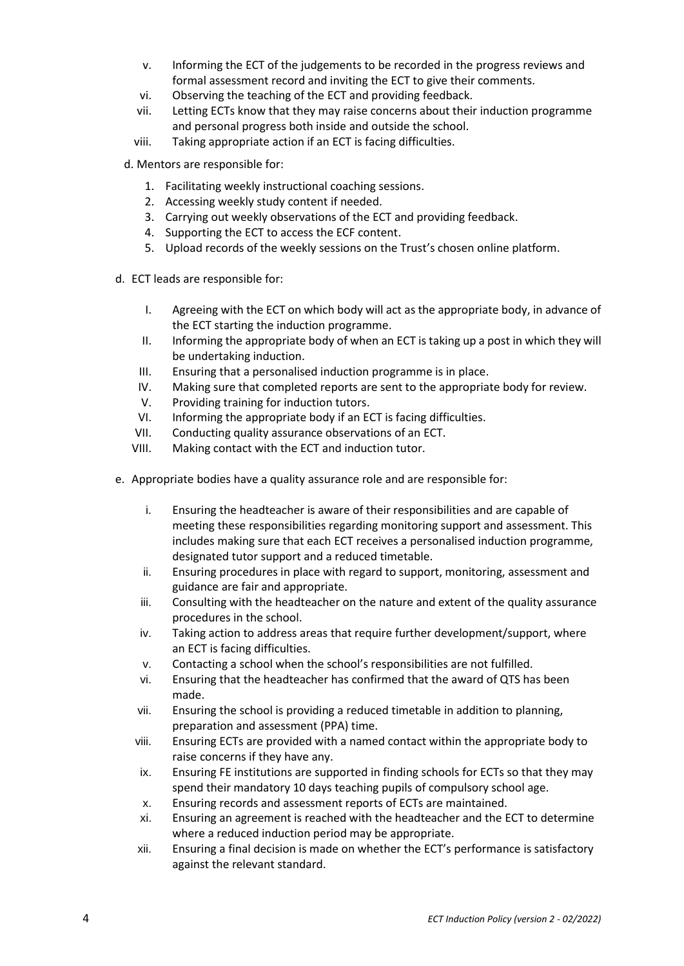- v. Informing the ECT of the judgements to be recorded in the progress reviews and formal assessment record and inviting the ECT to give their comments.
- vi. Observing the teaching of the ECT and providing feedback.
- vii. Letting ECTs know that they may raise concerns about their induction programme and personal progress both inside and outside the school.
- viii. Taking appropriate action if an ECT is facing difficulties.
- d. Mentors are responsible for:
	- 1. Facilitating weekly instructional coaching sessions.
	- 2. Accessing weekly study content if needed.
	- 3. Carrying out weekly observations of the ECT and providing feedback.
	- 4. Supporting the ECT to access the ECF content.
	- 5. Upload records of the weekly sessions on the Trust's chosen online platform.
- d. ECT leads are responsible for:
	- I. Agreeing with the ECT on which body will act as the appropriate body, in advance of the ECT starting the induction programme.
	- II. Informing the appropriate body of when an ECT is taking up a post in which they will be undertaking induction.
	- III. Ensuring that a personalised induction programme is in place.
	- IV. Making sure that completed reports are sent to the appropriate body for review.
	- V. Providing training for induction tutors.
	- VI. Informing the appropriate body if an ECT is facing difficulties.
	- VII. Conducting quality assurance observations of an ECT.
	- VIII. Making contact with the ECT and induction tutor.
- e. Appropriate bodies have a quality assurance role and are responsible for:
	- i. Ensuring the headteacher is aware of their responsibilities and are capable of meeting these responsibilities regarding monitoring support and assessment. This includes making sure that each ECT receives a personalised induction programme, designated tutor support and a reduced timetable.
	- ii. Ensuring procedures in place with regard to support, monitoring, assessment and guidance are fair and appropriate.
	- iii. Consulting with the headteacher on the nature and extent of the quality assurance procedures in the school.
	- iv. Taking action to address areas that require further development/support, where an ECT is facing difficulties.
	- v. Contacting a school when the school's responsibilities are not fulfilled.
	- vi. Ensuring that the headteacher has confirmed that the award of QTS has been made.
	- vii. Ensuring the school is providing a reduced timetable in addition to planning, preparation and assessment (PPA) time.
	- viii. Ensuring ECTs are provided with a named contact within the appropriate body to raise concerns if they have any.
	- ix. Ensuring FE institutions are supported in finding schools for ECTs so that they may spend their mandatory 10 days teaching pupils of compulsory school age.
	- x. Ensuring records and assessment reports of ECTs are maintained.
	- xi. Ensuring an agreement is reached with the headteacher and the ECT to determine where a reduced induction period may be appropriate.
	- xii. Ensuring a final decision is made on whether the ECT's performance is satisfactory against the relevant standard.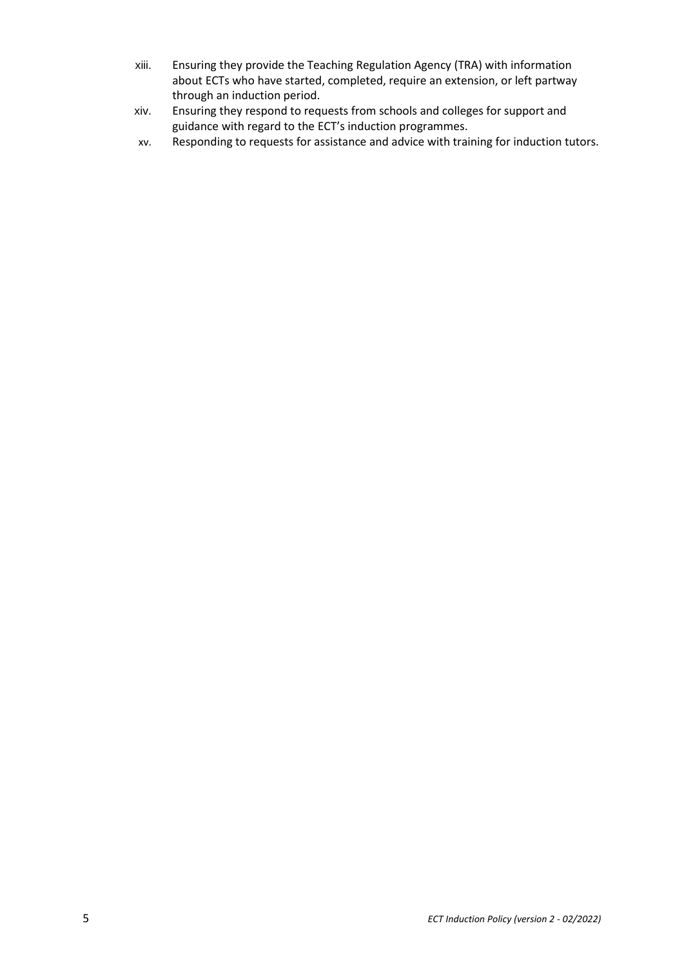- xiii. Ensuring they provide the Teaching Regulation Agency (TRA) with information about ECTs who have started, completed, require an extension, or left partway through an induction period.
- xiv. Ensuring they respond to requests from schools and colleges for support and guidance with regard to the ECT's induction programmes.
- xv. Responding to requests for assistance and advice with training for induction tutors.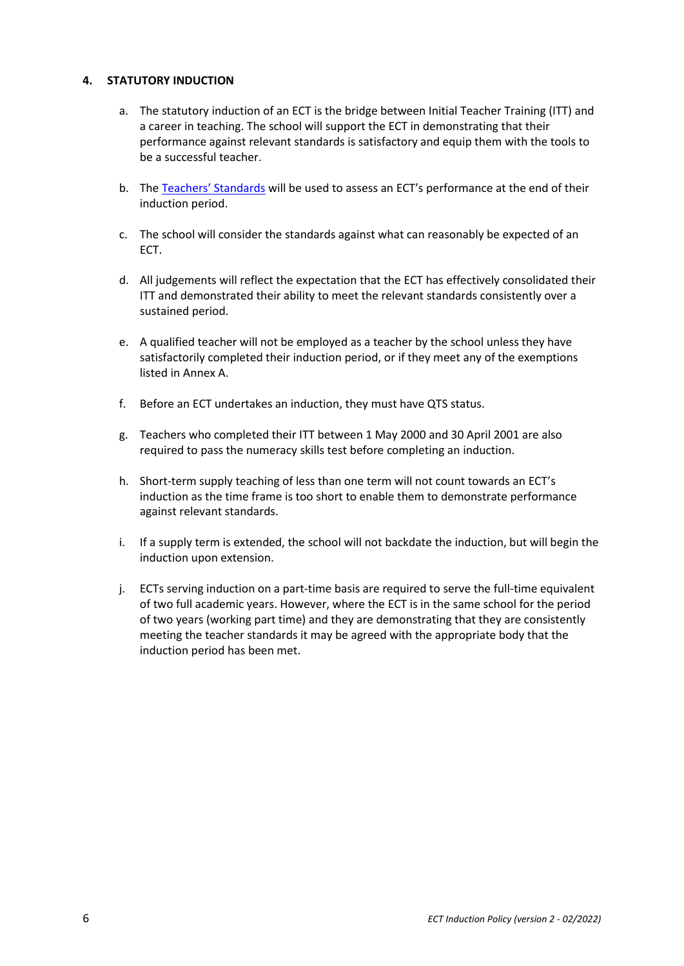## **4. STATUTORY INDUCTION**

- a. The statutory induction of an ECT is the bridge between Initial Teacher Training (ITT) and a career in teaching. The school will support the ECT in demonstrating that their performance against relevant standards is satisfactory and equip them with the tools to be a successful teacher.
- b. The [Teachers' Standards](https://www.gov.uk/government/publications/teachers-standards) will be used to assess an ECT's performance at the end of their induction period.
- c. The school will consider the standards against what can reasonably be expected of an ECT.
- d. All judgements will reflect the expectation that the ECT has effectively consolidated their ITT and demonstrated their ability to meet the relevant standards consistently over a sustained period.
- e. A qualified teacher will not be employed as a teacher by the school unless they have satisfactorily completed their induction period, or if they meet any of the exemptions listed in Annex A.
- f. Before an ECT undertakes an induction, they must have QTS status.
- g. Teachers who completed their ITT between 1 May 2000 and 30 April 2001 are also required to pass the numeracy skills test before completing an induction.
- h. Short-term supply teaching of less than one term will not count towards an ECT's induction as the time frame is too short to enable them to demonstrate performance against relevant standards.
- i. If a supply term is extended, the school will not backdate the induction, but will begin the induction upon extension.
- j. ECTs serving induction on a part-time basis are required to serve the full-time equivalent of two full academic years. However, where the ECT is in the same school for the period of two years (working part time) and they are demonstrating that they are consistently meeting the teacher standards it may be agreed with the appropriate body that the induction period has been met.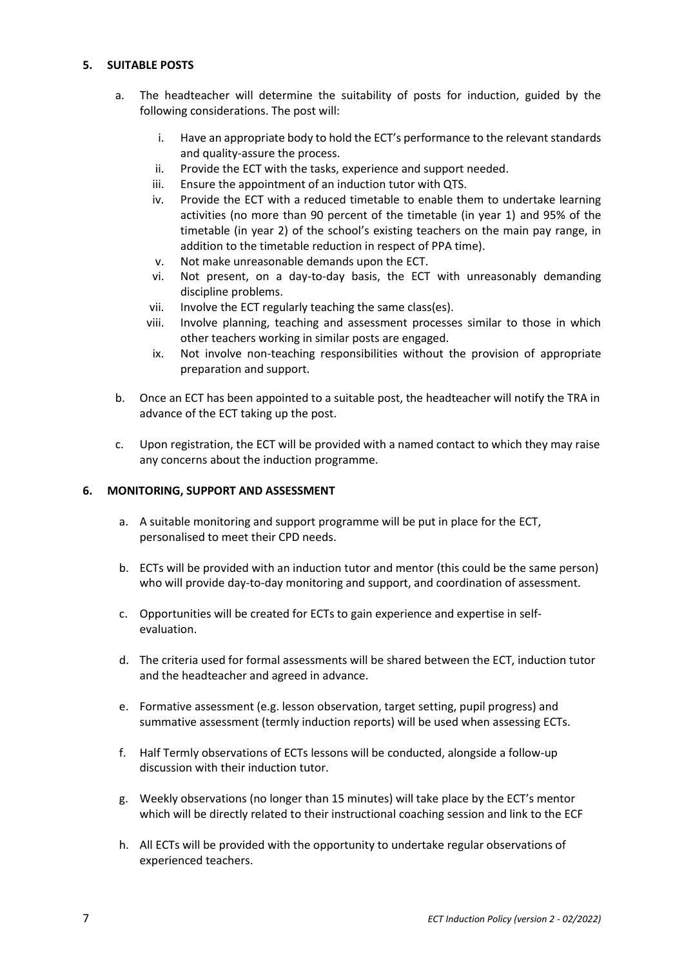## **5. SUITABLE POSTS**

- a. The headteacher will determine the suitability of posts for induction, guided by the following considerations. The post will:
	- i. Have an appropriate body to hold the ECT's performance to the relevant standards and quality-assure the process.
	- ii. Provide the ECT with the tasks, experience and support needed.
	- iii. Ensure the appointment of an induction tutor with QTS.
	- iv. Provide the ECT with a reduced timetable to enable them to undertake learning activities (no more than 90 percent of the timetable (in year 1) and 95% of the timetable (in year 2) of the school's existing teachers on the main pay range, in addition to the timetable reduction in respect of PPA time).
	- v. Not make unreasonable demands upon the ECT.
	- vi. Not present, on a day-to-day basis, the ECT with unreasonably demanding discipline problems.
	- vii. Involve the ECT regularly teaching the same class(es).
	- viii. Involve planning, teaching and assessment processes similar to those in which other teachers working in similar posts are engaged.
	- ix. Not involve non-teaching responsibilities without the provision of appropriate preparation and support.
- b. Once an ECT has been appointed to a suitable post, the headteacher will notify the TRA in advance of the ECT taking up the post.
- c. Upon registration, the ECT will be provided with a named contact to which they may raise any concerns about the induction programme.

### **6. MONITORING, SUPPORT AND ASSESSMENT**

- a. A suitable monitoring and support programme will be put in place for the ECT, personalised to meet their CPD needs.
- b. ECTs will be provided with an induction tutor and mentor (this could be the same person) who will provide day-to-day monitoring and support, and coordination of assessment.
- c. Opportunities will be created for ECTs to gain experience and expertise in selfevaluation.
- d. The criteria used for formal assessments will be shared between the ECT, induction tutor and the headteacher and agreed in advance.
- e. Formative assessment (e.g. lesson observation, target setting, pupil progress) and summative assessment (termly induction reports) will be used when assessing ECTs.
- f. Half Termly observations of ECTs lessons will be conducted, alongside a follow-up discussion with their induction tutor.
- g. Weekly observations (no longer than 15 minutes) will take place by the ECT's mentor which will be directly related to their instructional coaching session and link to the ECF
- h. All ECTs will be provided with the opportunity to undertake regular observations of experienced teachers.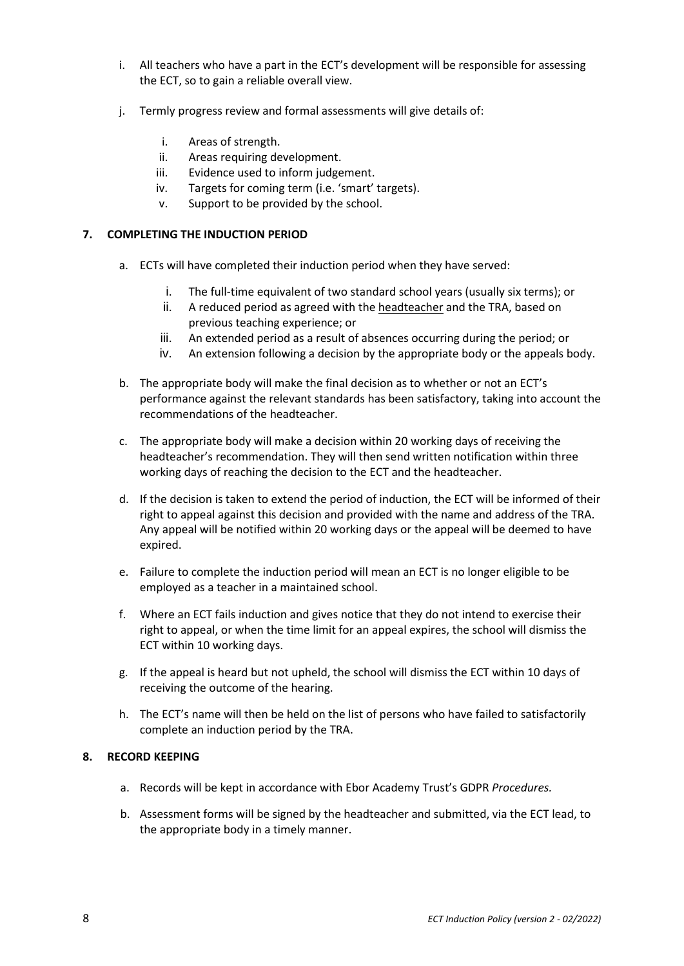- i. All teachers who have a part in the ECT's development will be responsible for assessing the ECT, so to gain a reliable overall view.
- j. Termly progress review and formal assessments will give details of:
	- i. Areas of strength.
	- ii. Areas requiring development.
	- iii. Evidence used to inform judgement.
	- iv. Targets for coming term (i.e. 'smart' targets).
	- v. Support to be provided by the school.

### **7. COMPLETING THE INDUCTION PERIOD**

- a. ECTs will have completed their induction period when they have served:
	- i. The full-time equivalent of two standard school years (usually six terms); or
	- ii. A reduced period as agreed with the headteacher and the TRA, based on previous teaching experience; or
	- iii. An extended period as a result of absences occurring during the period; or
	- iv. An extension following a decision by the appropriate body or the appeals body.
- b. The appropriate body will make the final decision as to whether or not an ECT's performance against the relevant standards has been satisfactory, taking into account the recommendations of the headteacher.
- c. The appropriate body will make a decision within 20 working days of receiving the headteacher's recommendation. They will then send written notification within three working days of reaching the decision to the ECT and the headteacher.
- d. If the decision is taken to extend the period of induction, the ECT will be informed of their right to appeal against this decision and provided with the name and address of the TRA. Any appeal will be notified within 20 working days or the appeal will be deemed to have expired.
- e. Failure to complete the induction period will mean an ECT is no longer eligible to be employed as a teacher in a maintained school.
- f. Where an ECT fails induction and gives notice that they do not intend to exercise their right to appeal, or when the time limit for an appeal expires, the school will dismiss the ECT within 10 working days.
- g. If the appeal is heard but not upheld, the school will dismiss the ECT within 10 days of receiving the outcome of the hearing.
- h. The ECT's name will then be held on the list of persons who have failed to satisfactorily complete an induction period by the TRA.

### **8. RECORD KEEPING**

- a. Records will be kept in accordance with Ebor Academy Trust's GDPR *Procedures.*
- b. Assessment forms will be signed by the headteacher and submitted, via the ECT lead, to the appropriate body in a timely manner.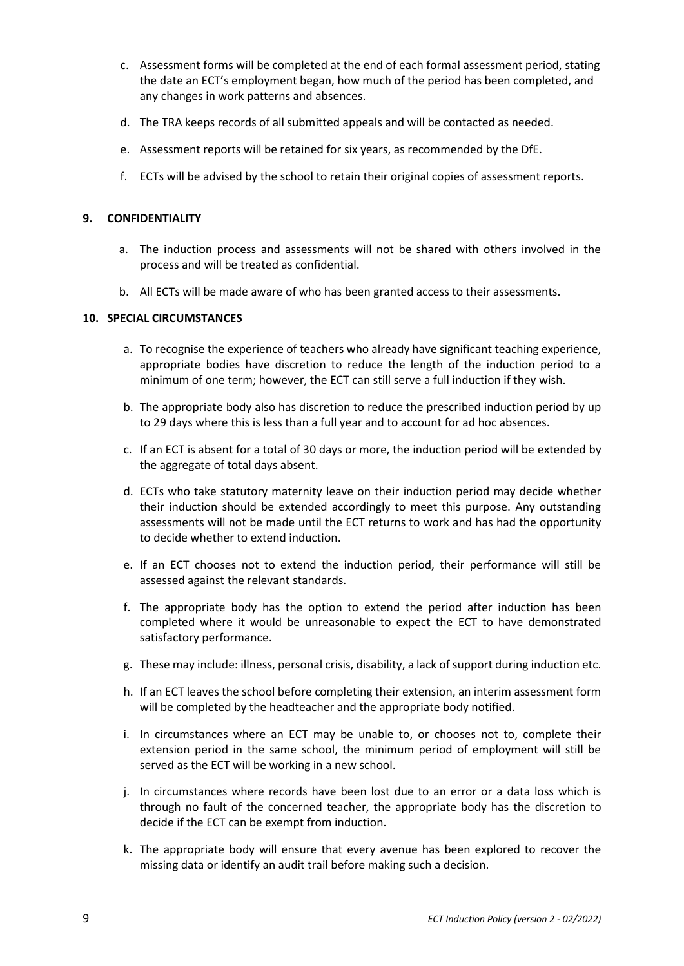- c. Assessment forms will be completed at the end of each formal assessment period, stating the date an ECT's employment began, how much of the period has been completed, and any changes in work patterns and absences.
- d. The TRA keeps records of all submitted appeals and will be contacted as needed.
- e. Assessment reports will be retained for six years, as recommended by the DfE.
- f. ECTs will be advised by the school to retain their original copies of assessment reports.

### **9. CONFIDENTIALITY**

- a. The induction process and assessments will not be shared with others involved in the process and will be treated as confidential.
- b. All ECTs will be made aware of who has been granted access to their assessments.

## **10. SPECIAL CIRCUMSTANCES**

- a. To recognise the experience of teachers who already have significant teaching experience, appropriate bodies have discretion to reduce the length of the induction period to a minimum of one term; however, the ECT can still serve a full induction if they wish.
- b. The appropriate body also has discretion to reduce the prescribed induction period by up to 29 days where this is less than a full year and to account for ad hoc absences.
- c. If an ECT is absent for a total of 30 days or more, the induction period will be extended by the aggregate of total days absent.
- d. ECTs who take statutory maternity leave on their induction period may decide whether their induction should be extended accordingly to meet this purpose. Any outstanding assessments will not be made until the ECT returns to work and has had the opportunity to decide whether to extend induction.
- e. If an ECT chooses not to extend the induction period, their performance will still be assessed against the relevant standards.
- f. The appropriate body has the option to extend the period after induction has been completed where it would be unreasonable to expect the ECT to have demonstrated satisfactory performance.
- g. These may include: illness, personal crisis, disability, a lack of support during induction etc.
- h. If an ECT leaves the school before completing their extension, an interim assessment form will be completed by the headteacher and the appropriate body notified.
- i. In circumstances where an ECT may be unable to, or chooses not to, complete their extension period in the same school, the minimum period of employment will still be served as the ECT will be working in a new school.
- j. In circumstances where records have been lost due to an error or a data loss which is through no fault of the concerned teacher, the appropriate body has the discretion to decide if the ECT can be exempt from induction.
- k. The appropriate body will ensure that every avenue has been explored to recover the missing data or identify an audit trail before making such a decision.